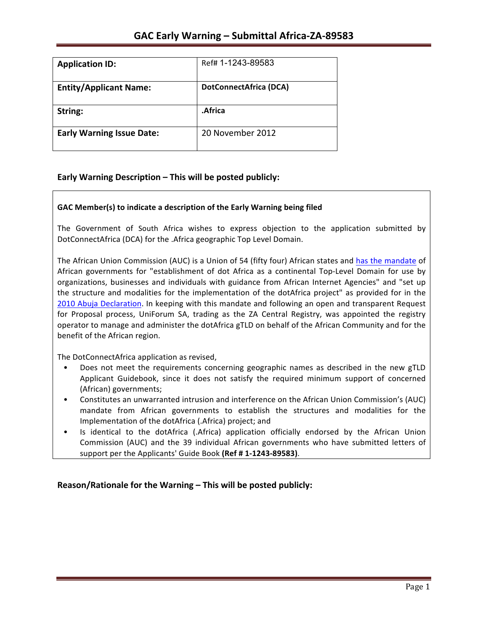| <b>Application ID:</b>           | Ref# 1-1243-89583             |
|----------------------------------|-------------------------------|
| <b>Entity/Applicant Name:</b>    | <b>DotConnectAfrica (DCA)</b> |
| String:                          | .Africa                       |
| <b>Early Warning Issue Date:</b> | 20 November 2012              |

### **Early Warning Description – This will be posted publicly:**

### GAC Member(s) to indicate a description of the Early Warning being filed

The Government of South Africa wishes to express objection to the application submitted by DotConnectAfrica (DCA) for the .Africa geographic Top Level Domain.

The African Union Commission (AUC) is a Union of 54 (fifty four) African states and has the mandate of African governments for "establishment of dot Africa as a continental Top-Level Domain for use by organizations, businesses and individuals with guidance from African Internet Agencies" and "set up the structure and modalities for the implementation of the dotAfrica project" as provided for in the 2010 Abuja Declaration. In keeping with this mandate and following an open and transparent Request for Proposal process, UniForum SA, trading as the ZA Central Registry, was appointed the registry operator to manage and administer the dotAfrica gTLD on behalf of the African Community and for the benefit of the African region.

The DotConnectAfrica application as revised,

- Does not meet the requirements concerning geographic names as described in the new gTLD Applicant Guidebook, since it does not satisfy the required minimum support of concerned (African) governments;
- Constitutes an unwarranted intrusion and interference on the African Union Commission's (AUC) mandate from African governments to establish the structures and modalities for the Implementation of the dotAfrica (.Africa) project; and
- Is identical to the dotAfrica (.Africa) application officially endorsed by the African Union Commission (AUC) and the 39 individual African governments who have submitted letters of support per the Applicants' Guide Book (Ref # 1-1243-89583).

**Reason/Rationale for the Warning – This will be posted publicly:**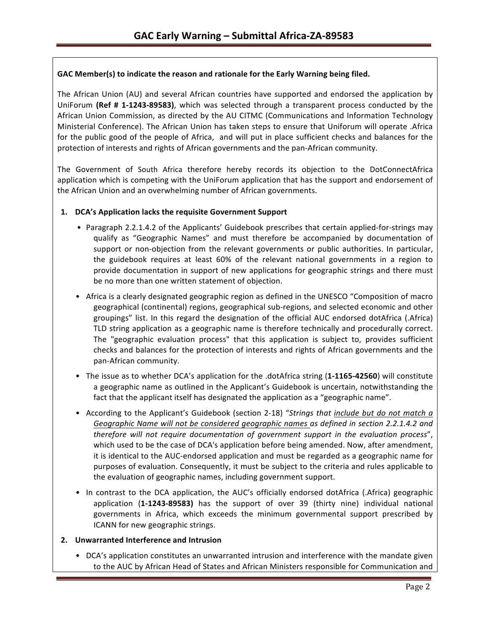### GAC Member(s) to indicate the reason and rationale for the Early Warning being filed.

The African Union (AU) and several African countries have supported and endorsed the application by UniForum (Ref # 1-1243-89583), which was selected through a transparent process conducted by the African Union Commission, as directed by the AU CITMC (Communications and Information Technology Ministerial Conference). The African Union has taken steps to ensure that Uniforum will operate .Africa for the public good of the people of Africa, and will put in place sufficient checks and balances for the protection of interests and rights of African governments and the pan-African community.

The Government of South Africa therefore hereby records its objection to the DotConnectAfrica application which is competing with the UniForum application that has the support and endorsement of the African Union and an overwhelming number of African governments.

### 1. **DCA's Application lacks the requisite Government Support**

- Paragraph 2.2.1.4.2 of the Applicants' Guidebook prescribes that certain applied-for-strings may qualify as "Geographic Names" and must therefore be accompanied by documentation of support or non-objection from the relevant governments or public authorities. In particular, the guidebook requires at least 60% of the relevant national governments in a region to provide documentation in support of new applications for geographic strings and there must be no more than one written statement of objection.
- Africa is a clearly designated geographic region as defined in the UNESCO "Composition of macro geographical (continental) regions, geographical sub-regions, and selected economic and other groupings" list. In this regard the designation of the official AUC endorsed dotAfrica (.Africa) TLD string application as a geographic name is therefore technically and procedurally correct. The "geographic evaluation process" that this application is subject to, provides sufficient checks and balances for the protection of interests and rights of African governments and the pan-African community.
- The issue as to whether DCA's application for the .dotAfrica string (1-1165-42560) will constitute a geographic name as outlined in the Applicant's Guidebook is uncertain, notwithstanding the fact that the applicant itself has designated the application as a "geographic name".
- According to the Applicant's Guidebook (section 2-18) "Strings that include but do not match a Geographic Name will not be considered geographic names as defined in section 2.2.1.4.2 and *therefore will not require documentation of government support in the evaluation process"*, which used to be the case of DCA's application before being amended. Now, after amendment, it is identical to the AUC-endorsed application and must be regarded as a geographic name for purposes of evaluation. Consequently, it must be subject to the criteria and rules applicable to the evaluation of geographic names, including government support.
- In contrast to the DCA application, the AUC's officially endorsed dotAfrica (.Africa) geographic application (1-1243-89583) has the support of over 39 (thirty nine) individual national governments in Africa, which exceeds the minimum governmental support prescribed by ICANN for new geographic strings.

### **2. Unwarranted Interference and Intrusion**

• DCA's application constitutes an unwarranted intrusion and interference with the mandate given to the AUC by African Head of States and African Ministers responsible for Communication and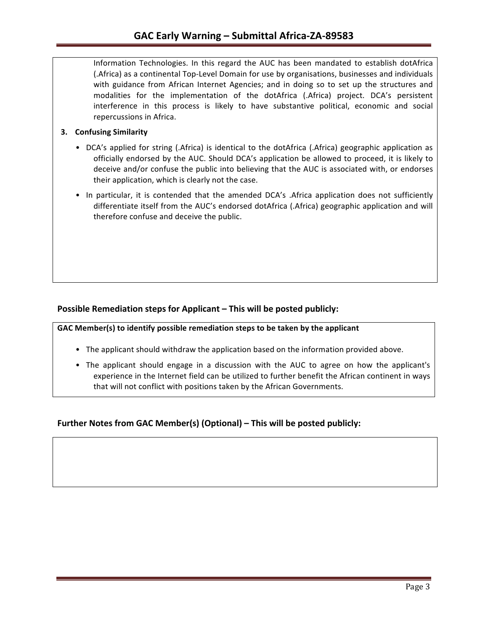Information Technologies. In this regard the AUC has been mandated to establish dotAfrica (.Africa) as a continental Top-Level Domain for use by organisations, businesses and individuals with guidance from African Internet Agencies; and in doing so to set up the structures and modalities for the implementation of the dotAfrica (.Africa) project. DCA's persistent interference in this process is likely to have substantive political, economic and social repercussions in Africa.

### **3.** Confusing Similarity

- DCA's applied for string (.Africa) is identical to the dotAfrica (.Africa) geographic application as officially endorsed by the AUC. Should DCA's application be allowed to proceed, it is likely to deceive and/or confuse the public into believing that the AUC is associated with, or endorses their application, which is clearly not the case.
- In particular, it is contended that the amended DCA's .Africa application does not sufficiently differentiate itself from the AUC's endorsed dotAfrica (.Africa) geographic application and will therefore confuse and deceive the public.

### **Possible Remediation steps for Applicant – This will be posted publicly:**

GAC Member(s) to identify possible remediation steps to be taken by the applicant

- The applicant should withdraw the application based on the information provided above.
- The applicant should engage in a discussion with the AUC to agree on how the applicant's experience in the Internet field can be utilized to further benefit the African continent in ways that will not conflict with positions taken by the African Governments.

## **Further Notes from GAC Member(s) (Optional) – This will be posted publicly:**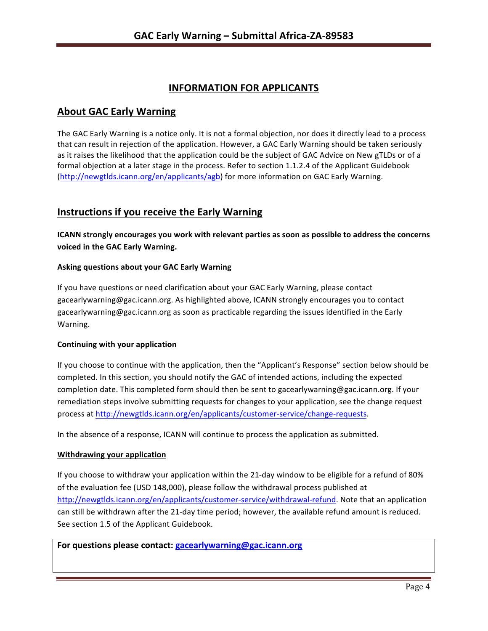# **INFORMATION FOR APPLICANTS**

## **About GAC Early Warning**

The GAC Early Warning is a notice only. It is not a formal objection, nor does it directly lead to a process that can result in rejection of the application. However, a GAC Early Warning should be taken seriously as it raises the likelihood that the application could be the subject of GAC Advice on New gTLDs or of a formal objection at a later stage in the process. Refer to section 1.1.2.4 of the Applicant Guidebook (http://newgtlds.icann.org/en/applicants/agb) for more information on GAC Early Warning.

# **Instructions if you receive the Early Warning**

**ICANN** strongly encourages you work with relevant parties as soon as possible to address the concerns **voiced in the GAC Early Warning.** 

### **Asking questions about your GAC Early Warning**

If you have questions or need clarification about your GAC Early Warning, please contact gacearlywarning@gac.icann.org. As highlighted above, ICANN strongly encourages you to contact gacearlywarning@gac.icann.org as soon as practicable regarding the issues identified in the Early Warning. 

### **Continuing with your application**

If you choose to continue with the application, then the "Applicant's Response" section below should be completed. In this section, you should notify the GAC of intended actions, including the expected completion date. This completed form should then be sent to gacearlywarning@gac.icann.org. If your remediation steps involve submitting requests for changes to your application, see the change request process at http://newgtlds.icann.org/en/applicants/customer-service/change-requests.

In the absence of a response, ICANN will continue to process the application as submitted.

### **Withdrawing your application**

If you choose to withdraw your application within the 21-day window to be eligible for a refund of 80% of the evaluation fee (USD 148,000), please follow the withdrawal process published at http://newgtlds.icann.org/en/applicants/customer-service/withdrawal-refund. Note that an application can still be withdrawn after the 21-day time period; however, the available refund amount is reduced. See section 1.5 of the Applicant Guidebook.

For questions please contact: gacearlywarning@gac.icann.org